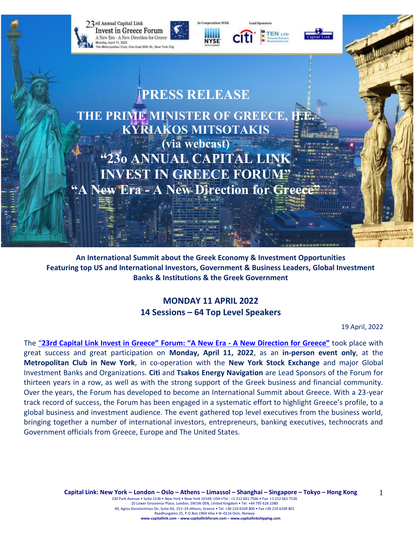

**An International Summit about the Greek Economy & Investment Opportunities Featuring top US and International Investors, Government & Business Leaders, Global Investment Banks & Institutions & the Greek Government**

# **MONDAY 11 APRIL 2022 14 Sessions – 64 Top Level Speakers**

19 April, 2022

The "**[23rd Capital Link Invest in Greece"](https://forums.capitallink.com/greece/2021/) Forum: "A New Era - A New Direction for Greece"** took place with great success and great participation on **Monday, April 11, 2022**, as an **in-person event only**, at the **Metropolitan Club in New York**, in co-operation with the **New York Stock Exchange** and major Global Investment Banks and Organizations. **Citi** and **Tsakos Energy Navigation** are Lead Sponsors of the Forum for thirteen years in a row, as well as with the strong support of the Greek business and financial community. Over the years, the Forum has developed to become an International Summit about Greece. With a 23-year track record of success, the Forum has been engaged in a systematic effort to highlight Greece's profile, to a global business and investment audience. The event gathered top level executives from the business world, bringing together a number of international investors, entrepreneurs, banking executives, technocrats and Government officials from Greece, Europe and The United States.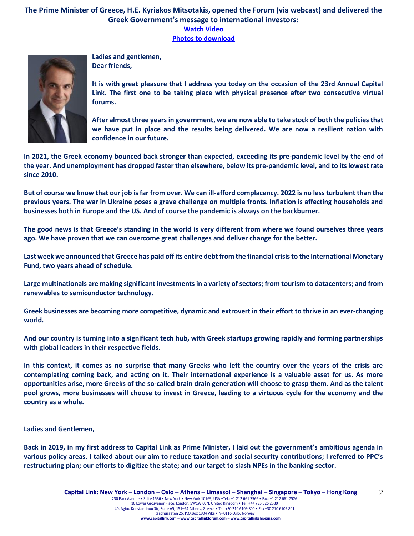# **The Prime Minister of Greece, H.E. Kyriakos Mitsotakis, opened the Forum (via webcast) and delivered the Greek Government's message to international investors: [Watch Video](https://www.youtube.com/watch?v=NRUoPpyes7Q) [Photos to download](https://forums.capitallink.com/greece/2021/images/zip/PRIME-MINISTER-MITSOTAKIS.zip)**



**Ladies and gentlemen, Dear friends,**

**It is with great pleasure that I address you today on the occasion of the 23rd Annual Capital Link. The first one to be taking place with physical presence after two consecutive virtual forums.** 

**After almost three years in government, we are now able to take stock of both the policies that we have put in place and the results being delivered. We are now a resilient nation with confidence in our future.**

**In 2021, the Greek economy bounced back stronger than expected, exceeding its pre-pandemic level by the end of the year. And unemployment has dropped faster than elsewhere, below its pre-pandemic level, and to its lowest rate since 2010.** 

**But of course we know that our job is far from over. We can ill-afford complacency. 2022 is no less turbulent than the previous years. The war in Ukraine poses a grave challenge on multiple fronts. Inflation is affecting households and businesses both in Europe and the US. And of course the pandemic is always on the backburner.** 

**The good news is that Greece's standing in the world is very different from where we found ourselves three years ago. We have proven that we can overcome great challenges and deliver change for the better.** 

**Last week we announced that Greece has paid off its entire debt from the financial crisis to the International Monetary Fund, two years ahead of schedule.** 

**Large multinationals are making significant investments in a variety of sectors; from tourism to datacenters; and from renewables to semiconductor technology.** 

**Greek businesses are becoming more competitive, dynamic and extrovert in their effort to thrive in an ever-changing world.** 

**And our country is turning into a significant tech hub, with Greek startups growing rapidly and forming partnerships with global leaders in their respective fields.** 

**In this context, it comes as no surprise that many Greeks who left the country over the years of the crisis are contemplating coming back, and acting on it. Their international experience is a valuable asset for us. As more opportunities arise, more Greeks of the so-called brain drain generation will choose to grasp them. And as the talent pool grows, more businesses will choose to invest in Greece, leading to a virtuous cycle for the economy and the country as a whole.** 

**Ladies and Gentlemen,** 

**Back in 2019, in my first address to Capital Link as Prime Minister, I laid out the government's ambitious agenda in various policy areas. I talked about our aim to reduce taxation and social security contributions; I referred to PPC's restructuring plan; our efforts to digitize the state; and our target to slash NPEs in the banking sector.**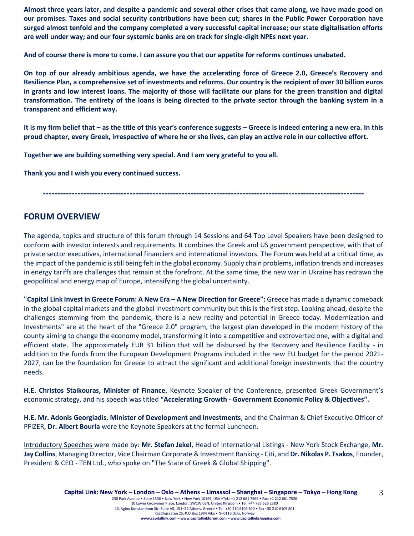**Almost three years later, and despite a pandemic and several other crises that came along, we have made good on our promises. Taxes and social security contributions have been cut; shares in the Public Power Corporation have surged almost tenfold and the company completed a very successful capital increase; our state digitalisation efforts are well under way; and our four systemic banks are on track for single-digit NPEs next year.** 

**And of course there is more to come. I can assure you that our appetite for reforms continues unabated.** 

**On top of our already ambitious agenda, we have the accelerating force of Greece 2.0, Greece's Recovery and Resilience Plan, a comprehensive set of investments and reforms. Our country is the recipient of over 30 billion euros in grants and low interest loans. The majority of those will facilitate our plans for the green transition and digital transformation. The entirety of the loans is being directed to the private sector through the banking system in a transparent and efficient way.** 

**It is my firm belief that – as the title of this year's conference suggests – Greece is indeed entering a new era. In this proud chapter, every Greek, irrespective of where he or she lives, can play an active role in our collective effort.** 

**Together we are building something very special. And I am very grateful to you all.** 

**Thank you and I wish you every continued success.**

**---------------------------------------------------------------------------------------------------------------**

# **FORUM OVERVIEW**

The agenda, topics and structure of this forum through 14 Sessions and 64 Top Level Speakers have been designed to conform with investor interests and requirements. It combines the Greek and US government perspective, with that of private sector executives, international financiers and international investors. The Forum was held at a critical time, as the impact of the pandemic is still being felt in the global economy. Supply chain problems, inflation trends and increases in energy tariffs are challenges that remain at the forefront. At the same time, the new war in Ukraine has redrawn the geopolitical and energy map of Europe, intensifying the global uncertainty.

**"Capital Link Invest in Greece Forum: A New Era – A New Direction for Greece":** Greece has made a dynamic comeback in the global capital markets and the global investment community but this is the first step. Looking ahead, despite the challenges stemming from the pandemic, there is a new reality and potential in Greece today. Modernization and Investments" are at the heart of the "Greece 2.0" program, the largest plan developed in the modern history of the county aiming to change the economy model, transforming it into a competitive and extroverted one, with a digital and efficient state. The approximately EUR 31 billion that will be disbursed by the Recovery and Resilience Facility - in addition to the funds from the European Development Programs included in the new EU budget for the period 2021- 2027, can be the foundation for Greece to attract the significant and additional foreign investments that the country needs.

**H.E. Christos Staikouras, Minister of Finance**, Keynote Speaker of the Conference, presented Greek Government's economic strategy, and his speech was titled **"Accelerating Growth - Government Economic Policy & Objectives".**

**H.E. Mr. Adonis Georgiadis**, **Minister of Development and Investments**, and the Chairman & Chief Executive Officer of PFIZER, **Dr. Albert Bourla** were the Keynote Speakers at the formal Luncheon.

Introductory Speeches were made by: **Mr. Stefan Jekel**, Head of International Listings - New York Stock Exchange, **Mr. Jay Collins**, Managing Director, Vice Chairman Corporate & Investment Banking - Citi, and **Dr. Nikolas P. Tsakos**, Founder, President & CEO - TEN Ltd., who spoke on "The State of Greek & Global Shipping".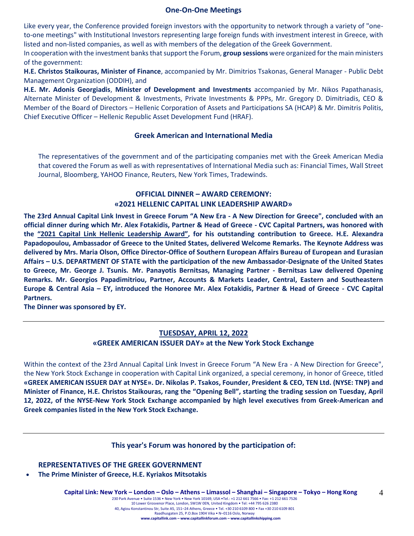#### **One-On-One Meetings**

Like every year, the Conference provided foreign investors with the opportunity to network through a variety of "oneto-one meetings" with Institutional Investors representing large foreign funds with investment interest in Greece, with listed and non-listed companies, as well as with members of the delegation of the Greek Government.

In cooperation with the investment banks that support the Forum, **group sessions** were organized for the main ministers of the government:

**H.E. Christos Staikouras, Minister of Finance**, accompanied by Mr. Dimitrios Tsakonas, General Manager - Public Debt Management Organization (ODDIH), and

**H.E. Mr. Adonis Georgiadis**, **Minister of Development and Investments** accompanied by Mr. Nikos Papathanasis, Alternate Minister of Development & Investments, Private Investments & PPPs, Mr. Gregory D. Dimitriadis, CEO & Member of the Board of Directors – Hellenic Corporation of Assets and Participations SA (HCAP) & Mr. Dimitris Politis, Chief Executive Officer – Hellenic Republic Asset Development Fund (HRAF).

#### **Greek American and International Media**

The representatives of the government and of the participating companies met with the Greek American Media that covered the Forum as well as with representatives of International Media such as: Financial Times, Wall Street Journal, Bloomberg, YAHOO Finance, Reuters, New York Times, Tradewinds.

### **OFFICIAL DINNER – AWARD CEREMONY: «2021 HELLENIC CAPITAL LINK LEADERSHIP AWARD»**

**The 23rd Annual Capital Link Invest in Greece Forum "A New Era - A New Direction for Greece", concluded with an official dinner during which Mr. Alex Fotakidis, Partner & Head of Greece - CVC Capital Partners, was honored with the "2021 Capital Link Hellenic Leadership Award", for his outstanding contribution to Greece. H.E. Alexandra Papadopoulou, Ambassador of Greece to the United States, delivered Welcome Remarks. The Keynote Address was delivered by Mrs. Maria Olson, Office Director-Office of Southern European Affairs Bureau of European and Eurasian Affairs – U.S. DEPARTMENT OF STATE with the participation of the new Ambassador-Designate of the United States to Greece, Mr. George J. Tsunis. Mr. Panayotis Bernitsas, Managing Partner - Bernitsas Law delivered Opening Remarks. Mr. Georgios Papadimitriou, Partner, Accounts & Markets Leader, Central, Eastern and Southeastern Europe & Central Asia – EY, introduced the Honoree Mr. Alex Fotakidis, Partner & Head of Greece - CVC Capital Partners.**

**The Dinner was sponsored by ΕΥ.**

#### **TUESDSAY, APRIL 12, 2022**

#### **«GREEK AMERICAN ISSUER DAY» at the New York Stock Exchange**

Within the context of the 23rd Annual Capital Link Invest in Greece Forum "A New Era - A New Direction for Greece", the New York Stock Exchange in cooperation with Capital Link organized, a special ceremony, in honor of Greece, titled **«GREEK AMERICAN ISSUER DAY at NYSE». Dr. Nikolas P. Tsakos, Founder, President & CEO, TEN Ltd. (NYSE: TNP) and Minister of Finance, H.E. Christos Staikouras, rang the "Opening Bell", starting the trading session on Tuesday, April 12, 2022, of the NYSE-New York Stock Exchange accompanied by high level executives from Greek-American and Greek companies listed in the New York Stock Exchange.**

#### **This year's Forum was honored by the participation of:**

**REPRESENTATIVES OF THE GREEK GOVERNMENT**

• **The Prime Minister of Greece, H.E. Kyriakos Mitsotakis** 

4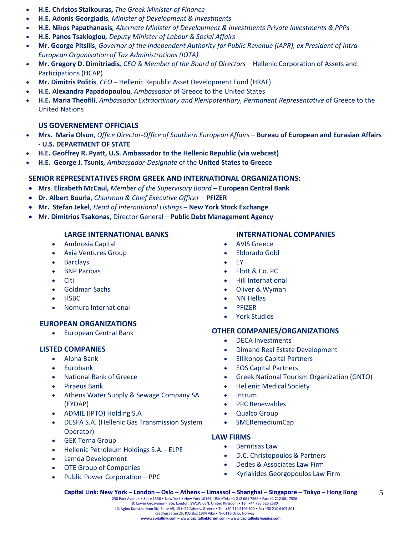- **H.E. Christos Staikouras,** *The Greek Minister of Finance*
- **H.E. Adonis Georgiadis***, Minister of Development & Investments*
- **Η.Ε. Nikos Papathanasis***, Alternate Minister of Development & Investments Private Investments & PPPs*
- **H.E. Panos Tsakloglou***, Deputy Minister of Labour & Social Affairs*
- **Mr. George Pitsilis**, *Governor of the Independent Authority for Public Revenue (IAPR), ex President of Intra-European Organisation of Tax Administrations (IOTA)*
- **Mr. Gregory D. Dimitriadis***, CEO & Member of the Board of Directors –* Hellenic Corporation of Assets and Participations (HCAP)
- **Mr. Dimitris Politis**, *CEO* Hellenic Republic Asset Development Fund (HRAF)
- **H.E. Alexandra Papadopoulou**, *Ambassador* of Greece to the United States
- **H.E. Maria Theofili**, *Ambassador Extraordinary and Plenipotentiary, Permanent Representative* of Greece to the United Nations

## **US GOVERNEMENT OFFICIALS**

- **Mrs. Maria Olson**, *Office Director-Office of Southern European Affairs –* **Bureau of European and Eurasian Affairs - U.S. DEPARTMENT OF STATE**
- **H.E. Geoffrey R. Pyatt, U.S. Ambassador to the Hellenic Republic (via webcast)**
- **H.E. George J. Tsunis***, Ambassador-Designate* of the **United States to Greece**

# **SENIOR REPRESENTATIVES FROM GREEK AND INTERNATIONAL ORGANIZATIONS:**

- **Mrs**. **Elizabeth McCaul,** *Member of the Supervisory Board* **European Central Bank**
- **Dr. Albert Bourla**, *Chairman & Chief Executive Officer* **PFIZER**
- **Mr. Stefan Jekel**, *Head of International Listings* **New York Stock Exchange**
- **Mr. Dimitrios Tsakonas**, Director General **Public Debt Management Agency**

## **LARGE INTERNATIONAL BANKS**

- Ambrosia Capital
- Axia Ventures Group
- Barclays
- BNP Paribas
- Citi
- Goldman Sachs
- HSBC
- Nomura International

#### **EUROPEAN ORGANIZATIONS**

• European Central Bank

#### **LISTED COMPANIES**

- Alpha Bank
- Eurobank
- National Bank of Greece
- Piraeus Bank
- Athens Water Supply & Sewage Company SA (EYDAP)
- ADMIE (IPTO) Holding S.A
- DESFA S.A. (Hellenic Gas Transmission System Operator)
- GEK Terna Group
- Hellenic Petroleum Holdings S.A. ELPE
- Lamda Development
- OTE Group of Companies
- Public Power Corporation PPC

## **INTERNATIONAL COMPANIES**

- AVIS Greece
- Eldorado Gold
- EY
- Flott & Co. PC
- Hill International
- Oliver & Wyman
- NN Hellas
- PFIZER
- York Studios

# **OTHER COMPANIES/ORGANIZATIONS**

- DECA Investments
- Dimand Real Estate Development
- Ellikonos Capital Partners
- EOS Capital Partners
- Greek National Tourism Organization (GNTO)
- Hellenic Medical Society
- Intrum
- PPC Renewables
- Qualco Group
- SMERemediumCap

#### **LAW FIRMS**

- Bernitsas Law
- D.C. Christopoulos & Partners
- Dedes & Associates Law Firm
- Kyriakides Georgopoulos Law Firm

**Capital Link: New York – London – Oslo – Athens – Limassol – Shanghai – Singapore – Tokyo – Hong Kong**  230 Park Avenue • Suite 1536 • New York • New York 10169, USA •Tel.: +1 212 661 7566 • Fax: +1 212 661 7526 10 Lower Grosvenor Place, London, SW1W 0EN, United Kingdom • Tel: +44 795 626 2380 40, Agiou Konstantinou Str, Suite A5, 151–24 Athens, Greece • Tel. +30 210 6109 800 • Fax +30 210 6109 801 Raadhusgaten 25, P.O.Box 1904 Vika • N–0116 Oslo, Norway **www.capitallink.com – www.capitallinkforum.com – www.capitallinkshipping.com**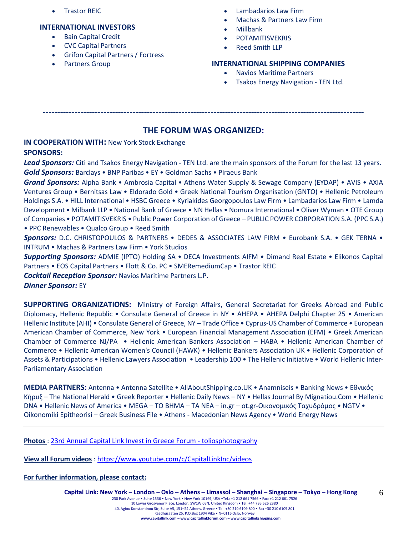• Trastor REIC

### **INTERNATIONAL INVESTORS**

- Bain Capital Credit
- CVC Capital Partners
- Grifon Capital Partners / Fortress
- Partners Group
- Lambadarios Law Firm
- Machas & Partners Law Firm
- Millbank
- **POTAMITISVEKRIS**
- Reed Smith LLP

# **INTERNATIONAL SHIPPING COMPANIES**

- Navios Maritime Partners
- Tsakos Energy Navigation TEN Ltd.

**---------------------------------------------------------------------------------------------------------------**

# **THE FORUM WAS ORGANIZED:**

**IN COOPERATION WITH:** New York Stock Exchange **SPONSORS:**

*Lead Sponsors:* Citi and Tsakos Energy Navigation - TEN Ltd. are the main sponsors of the Forum for the last 13 years. *Gold Sponsors:* Barclays • BNP Paribas • EY • Goldman Sachs • Piraeus Bank

*Grand Sponsors:* Alpha Bank • Ambrosia Capital • Athens Water Supply & Sewage Company (EYDAP) • AVIS • AXIA Ventures Group • Bernitsas Law • Eldorado Gold • Greek National Tourism Organisation (GNTO) • Hellenic Petroleum Holdings S.A. • HILL International • HSBC Greece • Kyriakides Georgopoulos Law Firm • Lambadarios Law Firm • Lamda Development • Milbank LLP • National Bank of Greece • NN Hellas • Nomura International • Oliver Wyman • OTE Group of Companies • POTAMITISVEKRIS • Public Power Corporation of Greece – PUBLIC POWER CORPORATION S.A. (PPC S.A.) • PPC Renewables • Qualco Group • Reed Smith

*Sponsors:* D.C. CHRISTOPOULOS & PARTNERS • DEDES & ASSOCIATES LAW FIRM • Eurobank S.A. • GEK TERNA • INTRUM • Machas & Partners Law Firm • York Studios

*Supporting Sponsors:* ADMIE (IPTO) Holding SA • DECA Investments AIFM • Dimand Real Estate • Elikonos Capital Partners • EOS Capital Partners • Flott & Co. PC • SMERemediumCap • Trastor REIC

*Cocktail Reception Sponsor:* Navios Maritime Partners L.P.

*Dinner Sponsor:* EY

**SUPPORTING ORGANIZATIONS:** Ministry of Foreign Affairs, General Secretariat for Greeks Abroad and Public Diplomacy, Hellenic Republic • Consulate General of Greece in NY • AHEPA • AHEPA Delphi Chapter 25 • American Hellenic Institute (AHI) • Consulate General of Greece, NY – Trade Office • Cyprus-US Chamber of Commerce • European American Chamber of Commerce, New York • European Financial Management Association (EFM) • Greek American Chamber of Commerce NJ/PA • Hellenic American Bankers Association – HABA • Hellenic American Chamber of Commerce • Hellenic American Women's Council (HAWK) • Hellenic Bankers Association UK • Hellenic Corporation of Assets & Participations • Hellenic Lawyers Association • Leadership 100 • The Hellenic Initiative • World Hellenic Inter-Parliamentary Association

**MEDIA PARTNERS:** Antenna • Antenna Satellite • AllAboutShipping.co.UK • Anamniseis • Banking News • Εθνικός Κήρυξ – The National Herald • Greek Reporter • Hellenic Daily News – NY • Hellas Journal By Mignatiou.Com • Hellenic DNA • Hellenic News of America • MEGA – TO BHMA – TA NEA – in.gr – ot.gr-Οικονομικός Ταχυδρόμος • NGTV • Oikonomiki Epitheorisi – Greek Business File • Athens - Macedonian News Agency • World Energy News

**Photos** : [23rd Annual Capital Link Invest in Greece Forum -](https://www.toliosphotography.com/ToliosEvents/CAPITAL-LINK-/23rd-Annual-Capital-Link-New-York-City/n-RHX6QD/) toliosphotography

**View all Forum videos** :<https://www.youtube.com/c/CapitalLinkInc/videos>

**For further information, please contact:**

6